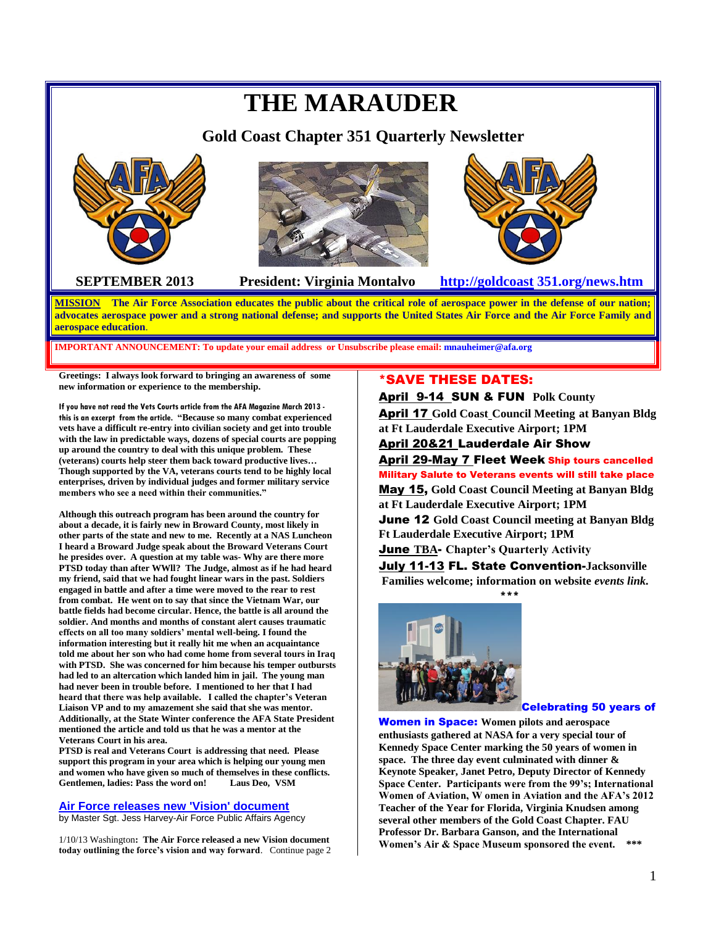# **THE MARAUDER Gold Coast Chapter 351 Quarterly Newsletter SEPTEMBER 2013 President: Virginia Montalvo [http://goldcoast](http://goldcoast/) 351.org/news.htm**

**MISSION The Air Force Association educates the public about the critical role of aerospace power in the defense of our nation; advocates aerospace power and a strong national defense; and supports the United States Air Force and the Air Force Family and aerospace education**.

**IMPORTANT ANNOUNCEMENT: To update your email address or Unsubscribe please email: mnauheimer@afa.org**

**Greetings: I always look forward to bringing an awareness of some new information or experience to the membership.**

**If you have not read the Vets Courts article from the AFA Magazine March 2013 this is an excerpt from the article. "Because so many combat experienced vets have a difficult re-entry into civilian society and get into trouble with the law in predictable ways, dozens of special courts are popping up around the country to deal with this unique problem. These (veterans) courts help steer them back toward productive lives… Though supported by the VA, veterans courts tend to be highly local enterprises, driven by individual judges and former military service members who see a need within their communities."** 

**Although this outreach program has been around the country for about a decade, it is fairly new in Broward County, most likely in other parts of the state and new to me. Recently at a NAS Luncheon I heard a Broward Judge speak about the Broward Veterans Court he presides over. A question at my table was- Why are there more PTSD today than after WWll? The Judge, almost as if he had heard my friend, said that we had fought linear wars in the past. Soldiers engaged in battle and after a time were moved to the rear to rest from combat. He went on to say that since the Vietnam War, our battle fields had become circular. Hence, the battle is all around the soldier. And months and months of constant alert causes traumatic effects on all too many soldiers' mental well-being. I found the information interesting but it really hit me when an acquaintance told me about her son who had come home from several tours in Iraq with PTSD. She was concerned for him because his temper outbursts had led to an altercation which landed him in jail. The young man had never been in trouble before. I mentioned to her that I had heard that there was help available. I called the chapter's Veteran Liaison VP and to my amazement she said that she was mentor. Additionally, at the State Winter conference the AFA State President mentioned the article and told us that he was a mentor at the Veterans Court in his area.** 

**PTSD is real and Veterans Court is addressing that need. Please support this program in your area which is helping our young men and women who have given so much of themselves in these conflicts. Gentlemen, ladies: Pass the word on! Laus Deo, VSM**

### **Air Force releases new 'Vision' document**

by Master Sgt. Jess Harvey-Air Force Public Affairs Agency

1/10/13 Washington**: The Air Force released a new Vision document today outlining the force's vision and way forward**. Continue page 2

# \*SAVE THESE DATES:

April 9-14 SUN & FUN **Polk County** April 17 **Gold Coast Council Meeting at Banyan Bldg at Ft Lauderdale Executive Airport; 1PM**

# April 20&21 Lauderdale Air Show

April 29-May 7 Fleet Week Ship tours cancelled Military Salute to Veterans events will still take place

May 15, **Gold Coast Council Meeting at Banyan Bldg at Ft Lauderdale Executive Airport; 1PM** June 12 **Gold Coast Council meeting at Banyan Bldg Ft Lauderdale Executive Airport; 1PM** June **TBA**- **Chapter's Quarterly Activity**

July 11-13 FL. State Convention-**Jacksonville Families welcome; information on website** *events link.*





Celebrating 50 years of

Women in Space: **Women pilots and aerospace enthusiasts gathered at NASA for a very special tour of Kennedy Space Center marking the 50 years of women in space. The three day event culminated with dinner & Keynote Speaker, Janet Petro, Deputy Director of Kennedy Space Center. Participants were from the 99's; International Women of Aviation, W omen in Aviation and the AFA's 2012 Teacher of the Year for Florida, Virginia Knudsen among several other members of the Gold Coast Chapter. FAU Professor Dr. Barbara Ganson, and the International Women's Air & Space Museum sponsored the event. \*\*\***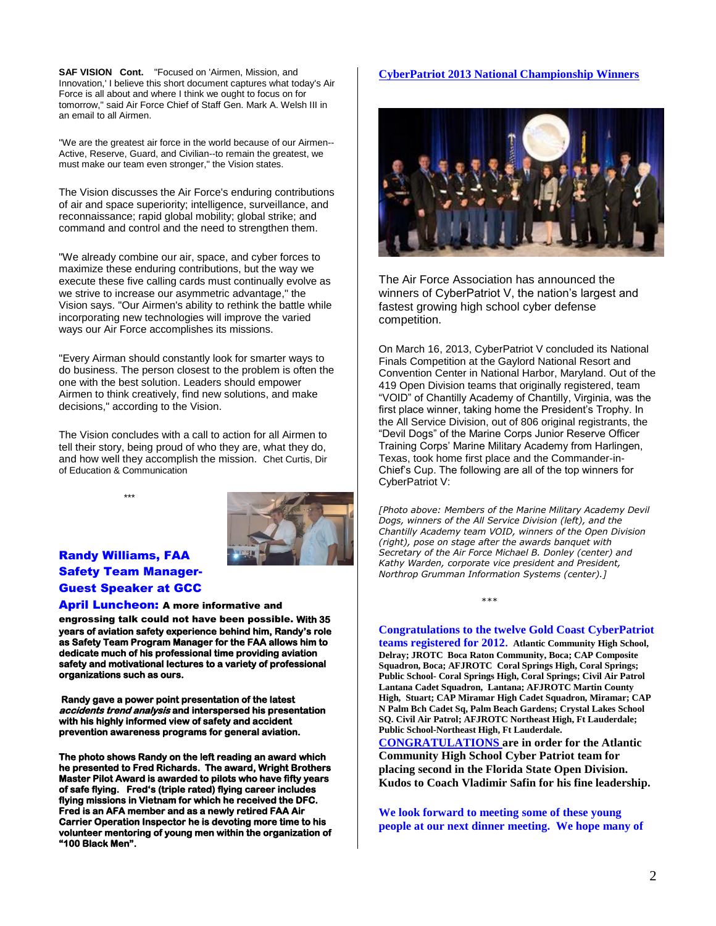**SAF VISION Cont.** "Focused on 'Airmen, Mission, and Innovation,' I believe this short document captures what today's Air Force is all about and where I think we ought to focus on for tomorrow," said Air Force Chief of Staff Gen. Mark A. Welsh III in an email to all Airmen.

"We are the greatest air force in the world because of our Airmen-- Active, Reserve, Guard, and Civilian--to remain the greatest, we must make our team even stronger," the Vision states.

The Vision discusses the Air Force's enduring contributions of air and space superiority; intelligence, surveillance, and reconnaissance; rapid global mobility; global strike; and command and control and the need to strengthen them.

"We already combine our air, space, and cyber forces to maximize these enduring contributions, but the way we execute these five calling cards must continually evolve as we strive to increase our asymmetric advantage," the Vision says. "Our Airmen's ability to rethink the battle while incorporating new technologies will improve the varied ways our Air Force accomplishes its missions.

"Every Airman should constantly look for smarter ways to do business. The person closest to the problem is often the one with the best solution. Leaders should empower Airmen to think creatively, find new solutions, and make decisions," according to the Vision.

The Vision concludes with a call to action for all Airmen to tell their story, being proud of who they are, what they do, and how well they accomplish the mission. Chet Curtis, Dir of Education & Communication





# Randy Williams, FAA Safety Team Manager-Guest Speaker at GCC

April Luncheon: A more informative and

engrossing talk could not have been possible. **With 35 years of aviation safety experience behind him, Randy's role as Safety Team Program Manager for the FAA allows him to dedicate much of his professional time providing aviation safety and motivational lectures to a variety of professional organizations such as ours.** 

 **Randy gave a power point presentation of the latest accidents trend analysis and interspersed his presentation with his highly informed view of safety and accident prevention awareness programs for general aviation.** 

**The photo shows Randy on the left reading an award which he presented to Fred Richards. The award, Wright Brothers Master Pilot Award is awarded to pilots who have fifty years of safe flying. Fred's (triple rated) flying career includes flying missions in Vietnam for which he received the DFC. Fred is an AFA member and as a newly retired FAA Air Carrier Operation Inspector he is devoting more time to his volunteer mentoring of young men within the organization of "100 Black Men".** 

### **CyberPatriot 2013 National Championship Winners**



The Air Force Association has announced the winners of CyberPatriot V, the nation's largest and fastest growing high school cyber defense competition.

On March 16, 2013, CyberPatriot V concluded its National Finals Competition at the Gaylord National Resort and Convention Center in National Harbor, Maryland. Out of the 419 Open Division teams that originally registered, team "VOID" of Chantilly Academy of Chantilly, Virginia, was the first place winner, taking home the President's Trophy. In the All Service Division, out of 806 original registrants, the "Devil Dogs" of the Marine Corps Junior Reserve Officer Training Corps' Marine Military Academy from Harlingen, Texas, took home first place and the Commander-in-Chief's Cup. The following are all of the top winners for CyberPatriot V:

*[Photo above: Members of the Marine Military Academy Devil Dogs, winners of the All Service Division (left), and the Chantilly Academy team VOID, winners of the Open Division (right), pose on stage after the awards banquet with Secretary of the Air Force Michael B. Donley (center) and Kathy Warden, corporate vice president and President, Northrop Grumman Information Systems (center).]*

### **Congratulations to the twelve Gold Coast CyberPatriot**

 *\*\*\** 

**teams registered for 2012. Atlantic Community High School, Delray; JROTC Boca Raton Community, Boca; CAP Composite Squadron, Boca; AFJROTC Coral Springs High, Coral Springs; Public School- Coral Springs High, Coral Springs; Civil Air Patrol Lantana Cadet Squadron, Lantana; AFJROTC Martin County High, Stuart; CAP Miramar High Cadet Squadron, Miramar; CAP N Palm Bch Cadet Sq, Palm Beach Gardens; Crystal Lakes School SQ. Civil Air Patrol; AFJROTC Northeast High, Ft Lauderdale; Public School-Northeast High, Ft Lauderdale. CONGRATULATIONS are in order for the Atlantic Community High School Cyber Patriot team for placing second in the Florida State Open Division. Kudos to Coach Vladimir Safin for his fine leadership.**

**We look forward to meeting some of these young people at our next dinner meeting. We hope many of**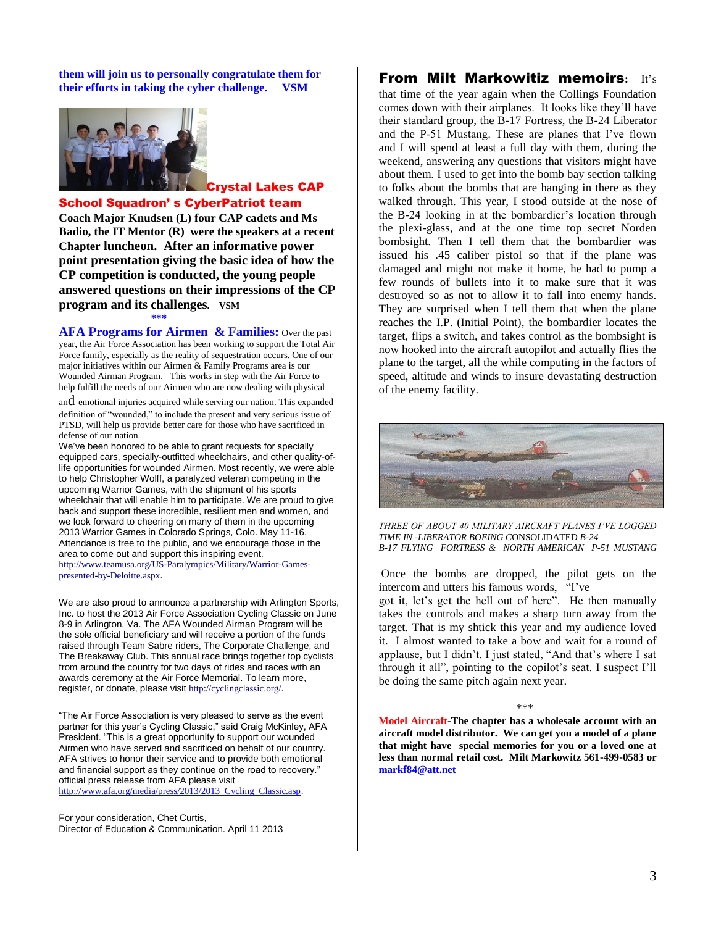**them will join us to personally congratulate them for their efforts in taking the cyber challenge. VSM** 



### Crystal Lakes CAP

School Squadron' s CyberPatriot team

**Coach Major Knudsen (L) four CAP cadets and Ms Badio, the IT Mentor (R) were the speakers at a recent Chapter luncheon. After an informative power point presentation giving the basic idea of how the CP competition is conducted, the young people answered questions on their impressions of the CP program and its challenges. VSM \*\*\*\*** 

**AFA Programs for Airmen & Families:** Over the past year, the Air Force Association has been working to support the Total Air Force family, especially as the reality of sequestration occurs. One of our major initiatives within our Airmen & Family Programs area is our Wounded Airman Program. This works in step with the Air Force to help fulfill the needs of our Airmen who are now dealing with physical

and emotional injuries acquired while serving our nation. This expanded definition of "wounded," to include the present and very serious issue of PTSD, will help us provide better care for those who have sacrificed in defense of our nation.

We've been honored to be able to grant requests for specially equipped cars, specially-outfitted wheelchairs, and other quality-oflife opportunities for wounded Airmen. Most recently, we were able to help Christopher Wolff, a paralyzed veteran competing in the upcoming Warrior Games, with the shipment of his sports wheelchair that will enable him to participate. We are proud to give back and support these incredible, resilient men and women, and we look forward to cheering on many of them in the upcoming 2013 Warrior Games in Colorado Springs, Colo. May 11-16. Attendance is free to the public, and we encourage those in the area to come out and support this inspiring event. [http://www.teamusa.org/US-Paralympics/Military/Warrior-Games-](http://r.listpilot.net/c/afa/7zlxi2k/3f647)

[presented-by-Deloitte.aspx](http://r.listpilot.net/c/afa/7zlxi2k/3f647).

We are also proud to announce a partnership with Arlington Sports, Inc. to host the 2013 Air Force Association Cycling Classic on June 8-9 in Arlington, Va. The AFA Wounded Airman Program will be the sole official beneficiary and will receive a portion of the funds raised through Team Sabre riders, The Corporate Challenge, and The Breakaway Club. This annual race brings together top cyclists from around the country for two days of rides and races with an awards ceremony at the Air Force Memorial. To learn more, register, or donate, please visit [http://cyclingclassic.org/](http://r.listpilot.net/c/afa/7zlxi2k/3f658).

"The Air Force Association is very pleased to serve as the event partner for this year's Cycling Classic," said Craig McKinley, AFA President. "This is a great opportunity to support our wounded Airmen who have served and sacrificed on behalf of our country. AFA strives to honor their service and to provide both emotional and financial support as they continue on the road to recovery." official press release from AFA please visit [http://www.afa.org/media/press/2013/2013\\_Cycling\\_Classic.asp](http://r.listpilot.net/c/afa/7zlxi2k/3f8qy).

For your consideration, Chet Curtis, Director of Education & Communication. April 11 2013

# From Milt Markowitiz memoirs**:** It's

that time of the year again when the Collings Foundation comes down with their airplanes. It looks like they'll have their standard group, the B-17 Fortress, the B-24 Liberator and the P-51 Mustang. These are planes that I've flown and I will spend at least a full day with them, during the weekend, answering any questions that visitors might have about them. I used to get into the bomb bay section talking to folks about the bombs that are hanging in there as they walked through. This year, I stood outside at the nose of the B-24 looking in at the bombardier's location through the plexi-glass, and at the one time top secret Norden bombsight. Then I tell them that the bombardier was issued his .45 caliber pistol so that if the plane was damaged and might not make it home, he had to pump a few rounds of bullets into it to make sure that it was destroyed so as not to allow it to fall into enemy hands. They are surprised when I tell them that when the plane reaches the I.P. (Initial Point), the bombardier locates the target, flips a switch, and takes control as the bombsight is now hooked into the aircraft autopilot and actually flies the plane to the target, all the while computing in the factors of speed, altitude and winds to insure devastating destruction of the enemy facility.



*THREE OF ABOUT 40 MILITARY AIRCRAFT PLANES I'VE LOGGED TIME IN -LIBERATOR BOEING C*ONSOLIDATED *B-24 B-17 FLYING FORTRESS & NORTH AMERICAN P-51 MUSTANG*

Once the bombs are dropped, the pilot gets on the intercom and utters his famous words, "I've

got it, let's get the hell out of here". He then manually takes the controls and makes a sharp turn away from the target. That is my shtick this year and my audience loved it. I almost wanted to take a bow and wait for a round of applause, but I didn't. I just stated, "And that's where I sat through it all", pointing to the copilot's seat. I suspect I'll be doing the same pitch again next year.

 $***$ 

**Model Aircraft-The chapter has a wholesale account with an aircraft model distributor. We can get you a model of a plane that might have special memories for you or a loved one at less than normal retail cost. Milt Markowitz 561-499-0583 or markf84@att.net**